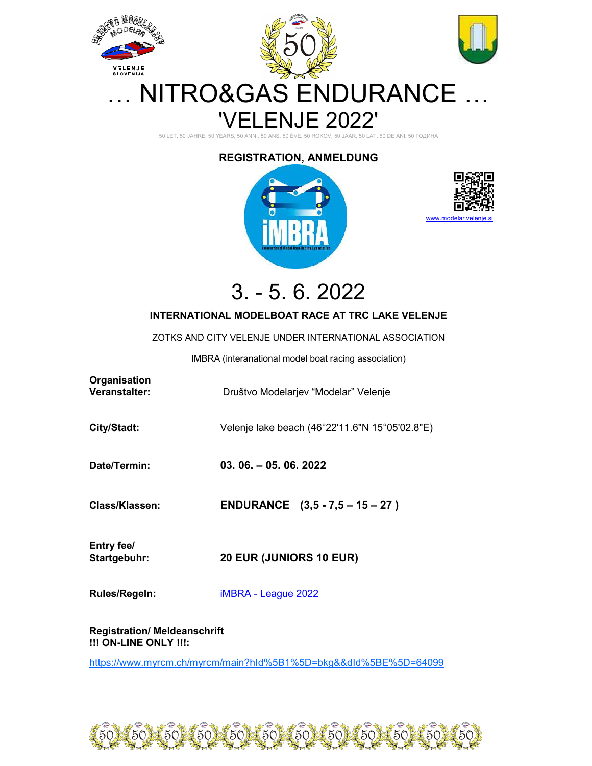

50 LET, 50 JAHRE, 50 YEARS, 50 ANNI, 50 ANS, 50 ÉVE, 50 ROKOV, 50 JAAR, 50 LAT, 50 DE ANI, 50 ГОДИНА

## REGISTRATION, ANMELDUNG





3. - 5. 6. 2022

## INTERNATIONAL MODELBOAT RACE AT TRC LAKE VELENJE

ZOTKS AND CITY VELENJE UNDER INTERNATIONAL ASSOCIATION

IMBRA (interanational model boat racing association)

| Organisation<br>Veranstalter: | Društvo Modelarjev "Modelar" Velenje           |
|-------------------------------|------------------------------------------------|
| City/Stadt:                   | Velenje lake beach (46°22'11.6"N 15°05'02.8"E) |
| Date/Termin:                  | $03.06 - 05.06.2022$                           |
| Class/Klassen:                | ENDURANCE $(3,5 - 7,5 - 15 - 27)$              |
| Entry fee/<br>Startgebuhr:    | <b>20 EUR (JUNIORS 10 EUR)</b>                 |
| <b>Rules/Regeln:</b>          | iMBRA - League 2022                            |

Registration/ Meldeanschrift !!! ON-LINE ONLY !!!:

https://www.myrcm.ch/myrcm/main?hId%5B1%5D=bkg&&dId%5BE%5D=64099